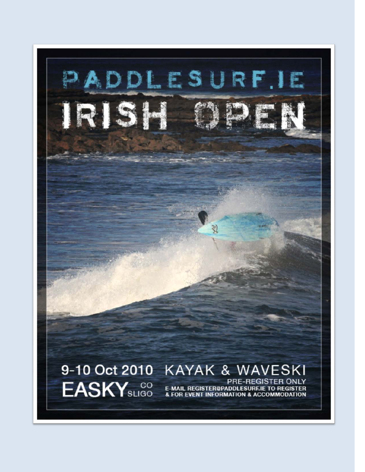